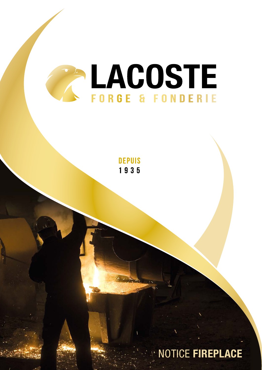

**DEPUIS** 1935

NOTICE **FIREPLACE**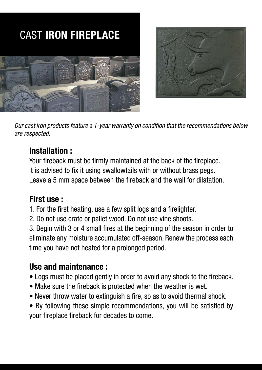



*Our cast iron products feature a 1-year warranty on condition that the recommendations below are respected.*

#### **Installation :**

Your fireback must be firmly maintained at the back of the fireplace. It is advised to fix it using swallowtails with or without brass pegs. Leave a 5 mm space between the fireback and the wall for dilatation.

#### **First use :**

- 1. For the first heating, use a few split logs and a firelighter.
- 2. Do not use crate or pallet wood. Do not use vine shoots.

3. Begin with 3 or 4 small fires at the beginning of the season in order to eliminate any moisture accumulated off-season. Renew the process each time you have not heated for a prolonged period.

#### **Use and maintenance :**

- Logs must be placed gently in order to avoid any shock to the fireback.
- Make sure the fireback is protected when the weather is wet.
- Never throw water to extinguish a fire, so as to avoid thermal shock.

• By following these simple recommendations, you will be satisfied by your fireplace fireback for decades to come.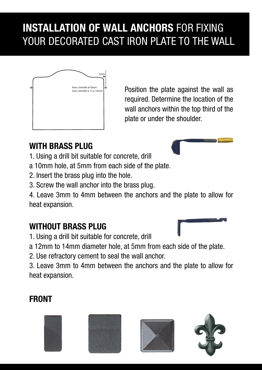# **INSTALLATION OF WALL ANCHORS** FOR FIXING YOUR DECORATED CAST IRON PLATE TO THE WALL



Position the plate against the wall as required. Determine the location of the wall anchors within the top third of the plate or under the shoulder.

### **WITH BRASS PLUG**

- 1. Using a drill bit suitable for concrete, drill
- a 10mm hole, at 5mm from each side of the plate.
- 2. Insert the brass plug into the hole.
- 3. Screw the wall anchor into the brass plug.

4. Leave 3mm to 4mm between the anchors and the plate to allow for heat expansion.

#### **WITHOUT BRASS PLUG**

1. Using a drill bit suitable for concrete, drill

a 12mm to 14mm diameter hole, at 5mm from each side of the plate.

2. Use refractory cement to seal the wall anchor.

3. Leave 3mm to 4mm between the anchors and the plate to allow for heat expansion.

## **FRONT**